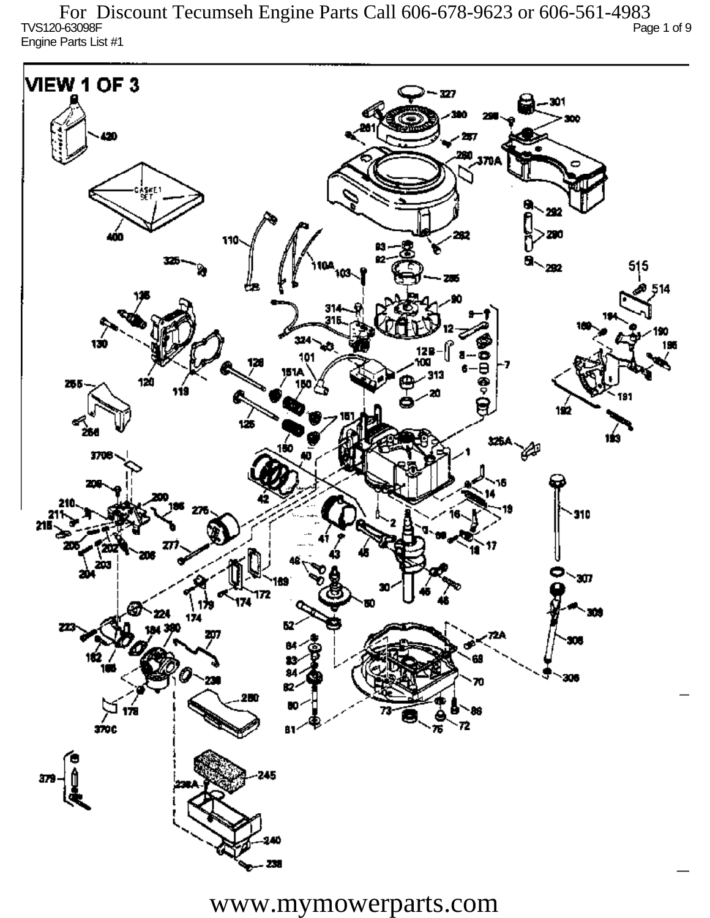TVS120-63098F Page 1 of 9 Engine Parts List #1 For Discount Tecumseh Engine Parts Call 606-678-9623 or 606-561-4983



www.mymowerparts.com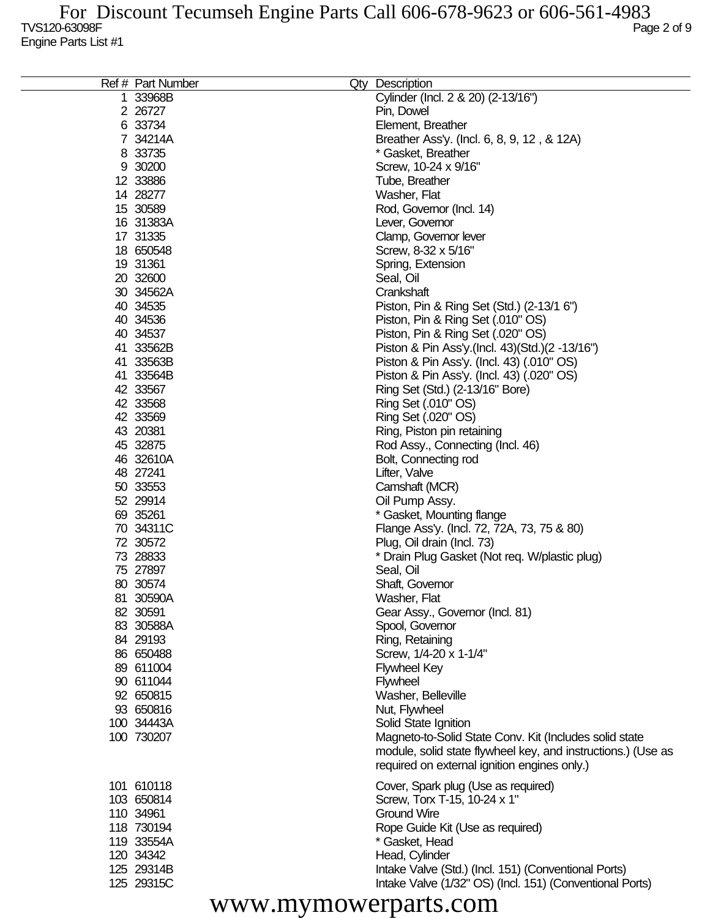| Ref # Part Number | Qty Description                                              |
|-------------------|--------------------------------------------------------------|
| 33968B<br>1.      | Cylinder (Incl. 2 & 20) (2-13/16")                           |
| 2 26727           | Pin, Dowel                                                   |
| 6 33734           | Element, Breather                                            |
| 7 34214A          | Breather Ass'y. (Incl. 6, 8, 9, 12, & 12A)                   |
| 8 33735           | * Gasket, Breather                                           |
| 9 30200           |                                                              |
|                   | Screw, 10-24 x 9/16"                                         |
| 12 33886          | Tube, Breather                                               |
| 14 28277          | Washer, Flat                                                 |
| 15 30589          | Rod, Governor (Incl. 14)                                     |
| 16 31383A         | Lever, Governor                                              |
| 17 31335          | Clamp, Governor lever                                        |
| 18 650548         | Screw, 8-32 x 5/16"                                          |
| 19 31361          | Spring, Extension                                            |
| 20 32600          | Seal, Oil                                                    |
| 30 34562A         | Crankshaft                                                   |
| 40 34535          | Piston, Pin & Ring Set (Std.) (2-13/1 6")                    |
| 40 34536          | Piston, Pin & Ring Set (.010" OS)                            |
| 40 34537          | Piston, Pin & Ring Set (.020" OS)                            |
| 41 33562B         | Piston & Pin Ass'y (Incl. 43) (Std.) (2 -13/16")             |
| 41 33563B         | Piston & Pin Ass'y. (Incl. 43) (.010" OS)                    |
| 41 33564B         | Piston & Pin Ass'y. (Incl. 43) (.020" OS)                    |
| 42 33567          | Ring Set (Std.) (2-13/16" Bore)                              |
| 42 33568          | Ring Set (.010" OS)                                          |
|                   |                                                              |
| 42 33569          | Ring Set (.020" OS)                                          |
| 43 20381          | Ring, Piston pin retaining                                   |
| 45 32875          | Rod Assy., Connecting (Incl. 46)                             |
| 46 32610A         | Bolt, Connecting rod                                         |
| 48 27241          | Lifter, Valve                                                |
| 50 33553          | Camshaft (MCR)                                               |
| 52 29914          | Oil Pump Assy.                                               |
| 69 35261          | * Gasket, Mounting flange                                    |
| 70 34311C         | Flange Ass'y. (Incl. 72, 72A, 73, 75 & 80)                   |
| 72 30572          | Plug, Oil drain (Incl. 73)                                   |
| 73 28833          | * Drain Plug Gasket (Not req. W/plastic plug)                |
| 75 27897          | Seal, Oil                                                    |
| 80 30574          | Shaft, Governor                                              |
| 81 30590A         | Washer, Flat                                                 |
| 82 30591          | Gear Assy., Governor (Incl. 81)                              |
| 83 30588A         | Spool, Governor                                              |
| 84 29193          | Ring, Retaining                                              |
| 86 650488         | Screw, 1/4-20 x 1-1/4"                                       |
| 89 611004         | <b>Flywheel Key</b>                                          |
|                   |                                                              |
| 90 611044         | <b>Flywheel</b>                                              |
| 92 650815         | Washer, Belleville                                           |
| 93 650816         | Nut, Flywheel                                                |
| 100 34443A        | Solid State Ignition                                         |
| 100 730207        | Magneto-to-Solid State Conv. Kit (Includes solid state       |
|                   | module, solid state flywheel key, and instructions.) (Use as |
|                   | required on external ignition engines only.)                 |
| 101 610118        | Cover, Spark plug (Use as required)                          |
|                   |                                                              |
| 103 650814        | Screw, Torx T-15, 10-24 x 1"                                 |
| 110 34961         | <b>Ground Wire</b>                                           |
| 118 730194        | Rope Guide Kit (Use as required)                             |
| 119 33554A        | * Gasket, Head                                               |
| 120 34342         | Head, Cylinder                                               |
| 125 29314B        | Intake Valve (Std.) (Incl. 151) (Conventional Ports)         |
| 125 29315C        | Intake Valve (1/32" OS) (Incl. 151) (Conventional Ports)     |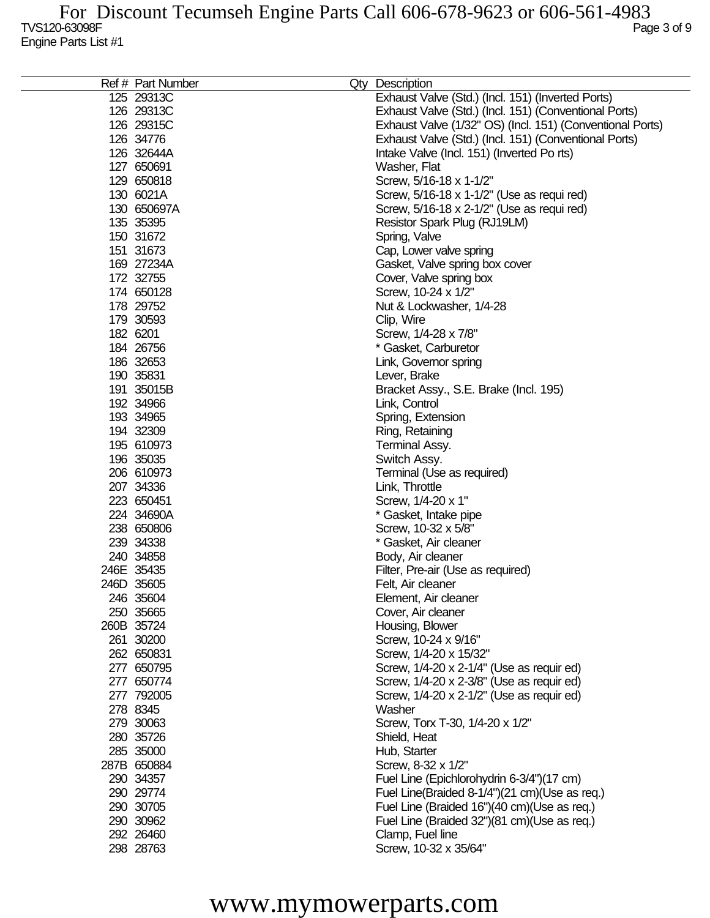| Ref # Part Number | Qty Description                                           |
|-------------------|-----------------------------------------------------------|
| 125 29313C        | Exhaust Valve (Std.) (Incl. 151) (Inverted Ports)         |
| 126 29313C        | Exhaust Valve (Std.) (Incl. 151) (Conventional Ports)     |
| 126 29315C        | Exhaust Valve (1/32" OS) (Incl. 151) (Conventional Ports) |
| 126 34776         | Exhaust Valve (Std.) (Incl. 151) (Conventional Ports)     |
| 126 32644A        | Intake Valve (Incl. 151) (Inverted Ports)                 |
| 127 650691        | Washer, Flat                                              |
| 129 650818        | Screw, 5/16-18 x 1-1/2"                                   |
| 130 6021A         | Screw, 5/16-18 x 1-1/2" (Use as requi red)                |
| 130 650697A       | Screw, 5/16-18 x 2-1/2" (Use as requi red)                |
| 135 35395         | Resistor Spark Plug (RJ19LM)                              |
| 150 31672         |                                                           |
|                   | Spring, Valve                                             |
| 151 31673         | Cap, Lower valve spring                                   |
| 169 27234A        | Gasket, Valve spring box cover                            |
| 172 32755         | Cover, Valve spring box                                   |
| 174 650128        | Screw, 10-24 x 1/2"                                       |
| 178 29752         | Nut & Lockwasher, 1/4-28                                  |
| 179 30593         | Clip, Wire                                                |
| 182 6201          | Screw, 1/4-28 x 7/8"                                      |
| 184 26756         | * Gasket, Carburetor                                      |
| 186 32653         | Link, Governor spring                                     |
| 190 35831         | Lever, Brake                                              |
| 191 35015B        | Bracket Assy., S.E. Brake (Incl. 195)                     |
| 192 34966         | Link, Control                                             |
| 193 34965         | Spring, Extension                                         |
| 194 32309         | Ring, Retaining                                           |
| 195 610973        | Terminal Assy.                                            |
| 196 35035         | Switch Assy.                                              |
| 206 610973        | Terminal (Use as required)                                |
| 207 34336         | Link, Throttle                                            |
| 223 650451        | Screw, 1/4-20 x 1"                                        |
| 224 34690A        | * Gasket, Intake pipe                                     |
| 238 650806        | Screw, 10-32 x 5/8"                                       |
| 239 34338         | * Gasket, Air cleaner                                     |
| 240 34858         | Body, Air cleaner                                         |
| 246E 35435        | Filter, Pre-air (Use as required)                         |
| 246D 35605        | Felt, Air cleaner                                         |
| 246 35604         | Element, Air cleaner                                      |
| 250 35665         | Cover, Air cleaner                                        |
| 260B 35724        | Housing, Blower                                           |
| 261 30200         | Screw, 10-24 x 9/16"                                      |
| 262 650831        | Screw, 1/4-20 x 15/32"                                    |
| 277 650795        | Screw, 1/4-20 x 2-1/4" (Use as requir ed)                 |
| 277 650774        | Screw, 1/4-20 x 2-3/8" (Use as requir ed)                 |
| 277 792005        | Screw, 1/4-20 x 2-1/2" (Use as requir ed)                 |
| 278 8345          | Washer                                                    |
| 279 30063         |                                                           |
|                   | Screw, Torx T-30, 1/4-20 x 1/2"                           |
| 280 35726         | Shield, Heat                                              |
| 285 35000         | Hub, Starter                                              |
| 287B 650884       | Screw, 8-32 x 1/2"                                        |
| 290 34357         | Fuel Line (Epichlorohydrin 6-3/4")(17 cm)                 |
| 290 29774         | Fuel Line(Braided 8-1/4")(21 cm)(Use as req.)             |
| 290 30705         | Fuel Line (Braided 16")(40 cm)(Use as req.)               |
| 290 30962         | Fuel Line (Braided 32")(81 cm)(Use as req.)               |
| 292 26460         | Clamp, Fuel line                                          |
| 298 28763         | Screw, 10-32 x 35/64"                                     |
|                   |                                                           |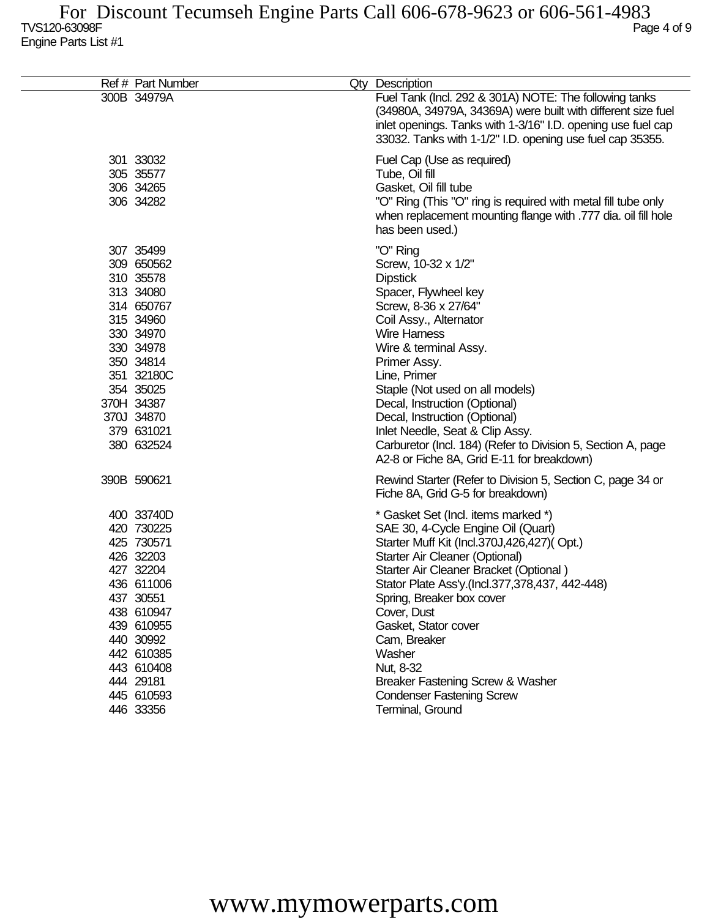| Ref # Part Number                                                                                                                                                                                        | Qty Description                                                                                                                                                                                                                                                                                                                                                                                                                                                    |
|----------------------------------------------------------------------------------------------------------------------------------------------------------------------------------------------------------|--------------------------------------------------------------------------------------------------------------------------------------------------------------------------------------------------------------------------------------------------------------------------------------------------------------------------------------------------------------------------------------------------------------------------------------------------------------------|
| 300B 34979A                                                                                                                                                                                              | Fuel Tank (Incl. 292 & 301A) NOTE: The following tanks<br>(34980A, 34979A, 34369A) were built with different size fuel<br>inlet openings. Tanks with 1-3/16" I.D. opening use fuel cap<br>33032. Tanks with 1-1/2" I.D. opening use fuel cap 35355.                                                                                                                                                                                                                |
| 301 33032<br>305 35577<br>306 34265<br>306 34282                                                                                                                                                         | Fuel Cap (Use as required)<br>Tube, Oil fill<br>Gasket, Oil fill tube<br>"O" Ring (This "O" ring is required with metal fill tube only<br>when replacement mounting flange with .777 dia. oil fill hole<br>has been used.)                                                                                                                                                                                                                                         |
| 307 35499<br>309 650562<br>310 35578<br>313 34080<br>314 650767<br>315 34960<br>330 34970<br>330 34978<br>350 34814<br>351 32180C<br>354 35025<br>370H 34387<br>370J 34870<br>379 631021<br>380 632524   | "O" Ring<br>Screw, 10-32 x 1/2"<br><b>Dipstick</b><br>Spacer, Flywheel key<br>Screw, 8-36 x 27/64"<br>Coil Assy., Alternator<br><b>Wire Harness</b><br>Wire & terminal Assy.<br>Primer Assy.<br>Line, Primer<br>Staple (Not used on all models)<br>Decal, Instruction (Optional)<br>Decal, Instruction (Optional)<br>Inlet Needle, Seat & Clip Assy.<br>Carburetor (Incl. 184) (Refer to Division 5, Section A, page<br>A2-8 or Fiche 8A, Grid E-11 for breakdown) |
| 390B 590621                                                                                                                                                                                              | Rewind Starter (Refer to Division 5, Section C, page 34 or<br>Fiche 8A, Grid G-5 for breakdown)                                                                                                                                                                                                                                                                                                                                                                    |
| 400 33740D<br>420 730225<br>425 730571<br>426 32203<br>427 32204<br>436 611006<br>437 30551<br>438 610947<br>439 610955<br>440 30992<br>442 610385<br>443 610408<br>444 29181<br>445 610593<br>446 33356 | * Gasket Set (Incl. items marked *)<br>SAE 30, 4-Cycle Engine Oil (Quart)<br>Starter Muff Kit (Incl.370J,426,427)(Opt.)<br>Starter Air Cleaner (Optional)<br>Starter Air Cleaner Bracket (Optional)<br>Stator Plate Ass'y.(Incl.377,378,437, 442-448)<br>Spring, Breaker box cover<br>Cover, Dust<br>Gasket, Stator cover<br>Cam, Breaker<br>Washer<br>Nut, 8-32<br>Breaker Fastening Screw & Washer<br><b>Condenser Fastening Screw</b><br>Terminal, Ground       |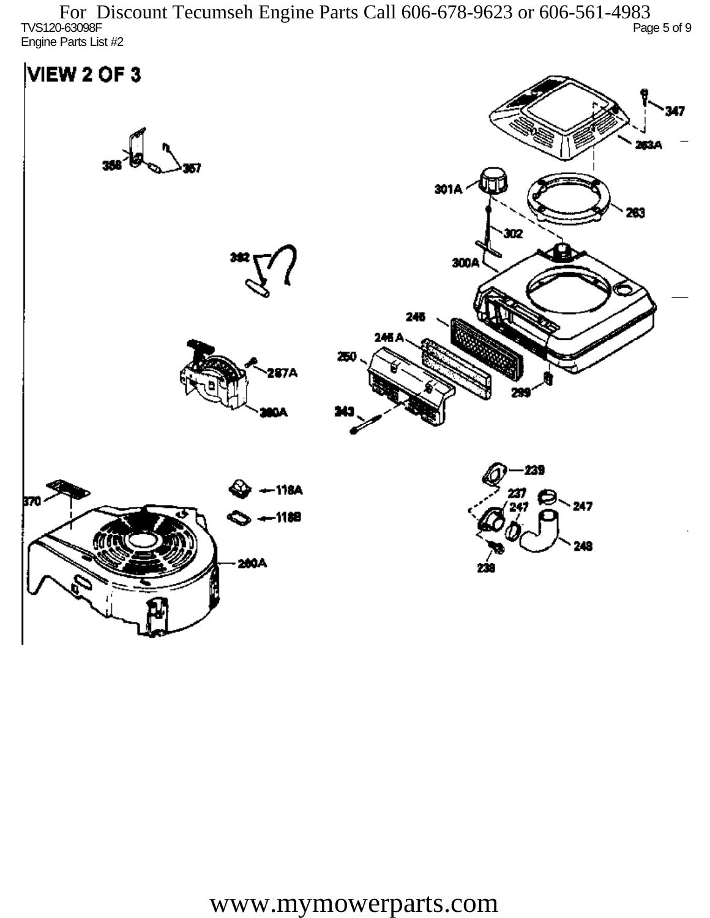TVS120-63098F Page 5 of 9 Engine Parts List #2 For Discount Tecumseh Engine Parts Call 606-678-9623 or 606-561-4983

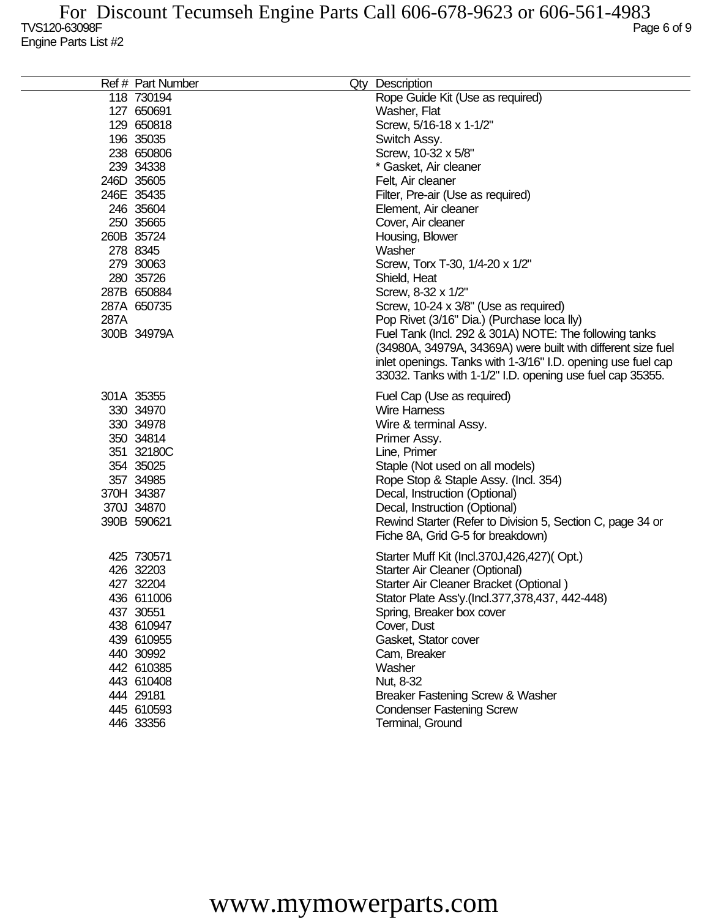|      | Ref # Part Number | Qty Description                                              |
|------|-------------------|--------------------------------------------------------------|
|      | 118 730194        | Rope Guide Kit (Use as required)                             |
|      | 127 650691        | Washer, Flat                                                 |
|      | 129 650818        | Screw, 5/16-18 x 1-1/2"                                      |
|      | 196 35035         | Switch Assy.                                                 |
|      | 238 650806        | Screw, 10-32 x 5/8"                                          |
|      | 239 34338         | * Gasket, Air cleaner                                        |
|      | 246D 35605        | Felt, Air cleaner                                            |
|      | 246E 35435        | Filter, Pre-air (Use as required)                            |
|      | 246 35604         | Element, Air cleaner                                         |
|      | 250 35665         | Cover, Air cleaner                                           |
|      | 260B 35724        | Housing, Blower                                              |
|      | 278 8345          | Washer                                                       |
|      | 279 30063         |                                                              |
|      |                   | Screw, Torx T-30, 1/4-20 x 1/2"                              |
|      | 280 35726         | Shield, Heat                                                 |
|      | 287B 650884       | Screw, 8-32 x 1/2"                                           |
|      | 287A 650735       | Screw, 10-24 x 3/8" (Use as required)                        |
| 287A |                   | Pop Rivet (3/16" Dia.) (Purchase loca lly)                   |
|      | 300B 34979A       | Fuel Tank (Incl. 292 & 301A) NOTE: The following tanks       |
|      |                   | (34980A, 34979A, 34369A) were built with different size fuel |
|      |                   | inlet openings. Tanks with 1-3/16" I.D. opening use fuel cap |
|      |                   | 33032. Tanks with 1-1/2" I.D. opening use fuel cap 35355.    |
|      | 301A 35355        | Fuel Cap (Use as required)                                   |
|      | 330 34970         | <b>Wire Harness</b>                                          |
|      | 330 34978         | Wire & terminal Assy.                                        |
|      | 350 34814         | Primer Assy.                                                 |
|      | 351 32180C        | Line, Primer                                                 |
|      | 354 35025         | Staple (Not used on all models)                              |
|      |                   |                                                              |
|      | 357 34985         | Rope Stop & Staple Assy. (Incl. 354)                         |
|      | 370H 34387        | Decal, Instruction (Optional)                                |
|      | 370J 34870        | Decal, Instruction (Optional)                                |
|      | 390B 590621       | Rewind Starter (Refer to Division 5, Section C, page 34 or   |
|      |                   | Fiche 8A, Grid G-5 for breakdown)                            |
|      | 425 730571        | Starter Muff Kit (Incl.370J,426,427)(Opt.)                   |
|      | 426 32203         | Starter Air Cleaner (Optional)                               |
|      | 427 32204         | Starter Air Cleaner Bracket (Optional)                       |
|      | 436 611006        | Stator Plate Ass'y.(Incl.377,378,437, 442-448)               |
|      | 437 30551         | Spring, Breaker box cover                                    |
|      | 438 610947        | Cover, Dust                                                  |
|      | 439 610955        | Gasket, Stator cover                                         |
|      | 440 30992         | Cam, Breaker                                                 |
|      | 442 610385        | Washer                                                       |
|      |                   |                                                              |
|      | 443 610408        | Nut, 8-32                                                    |
|      | 444 29181         | Breaker Fastening Screw & Washer                             |
|      | 445 610593        | <b>Condenser Fastening Screw</b>                             |
|      | 446 33356         | Terminal, Ground                                             |
|      |                   |                                                              |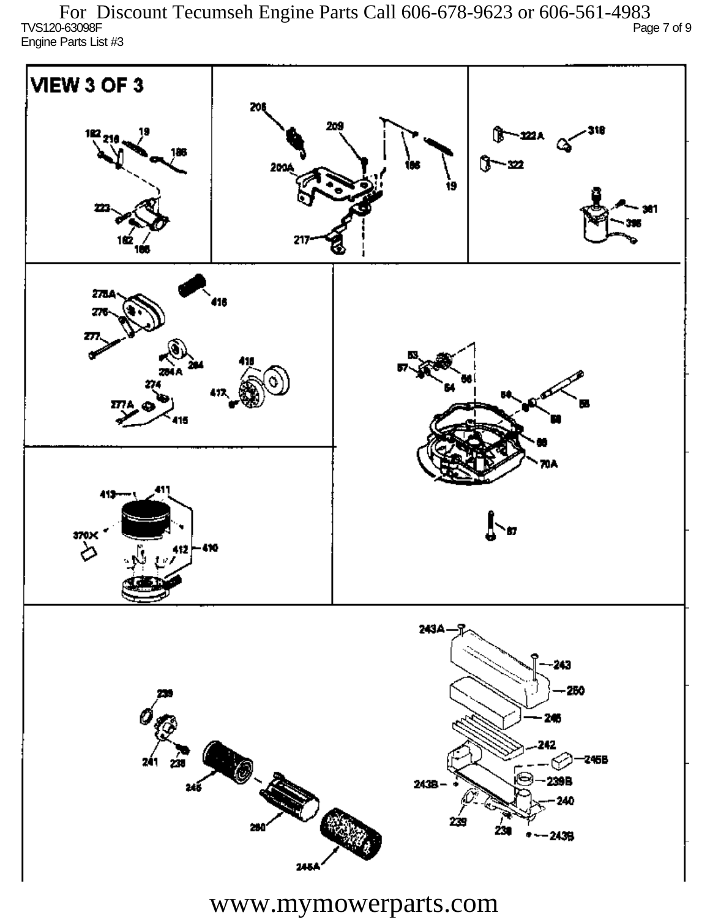TVS120-63098F Page 7 of 9 Engine Parts List #3 For Discount Tecumseh Engine Parts Call 606-678-9623 or 606-561-4983

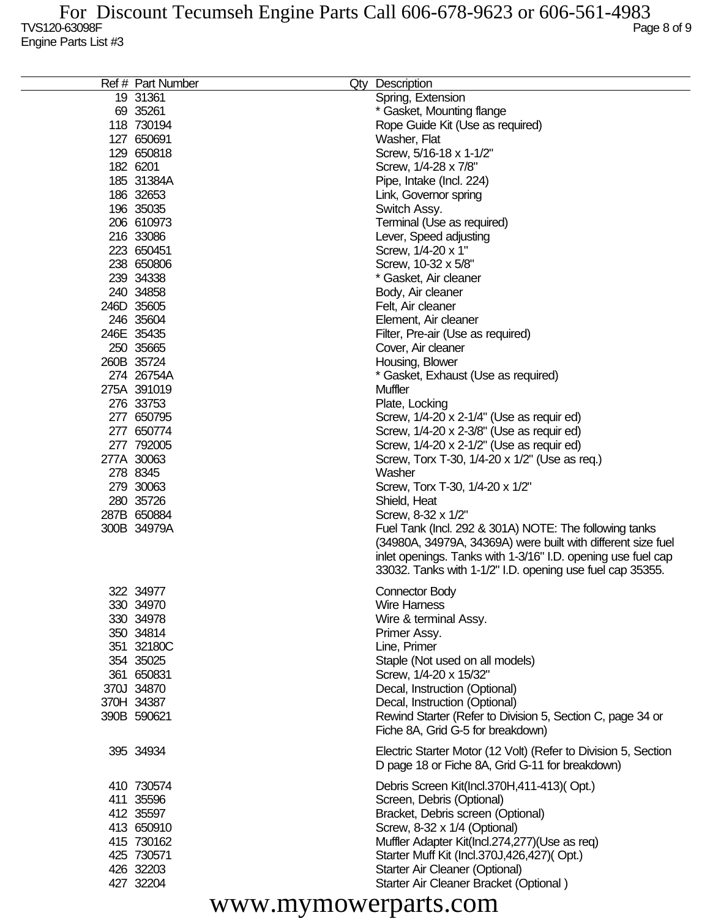| Ref # Part Number | Qty Description                                                                                 |
|-------------------|-------------------------------------------------------------------------------------------------|
| 19 31361          | Spring, Extension                                                                               |
| 69 35261          | * Gasket, Mounting flange                                                                       |
| 118 730194        | Rope Guide Kit (Use as required)                                                                |
| 127 650691        | Washer, Flat                                                                                    |
| 129 650818        | Screw, 5/16-18 x 1-1/2"                                                                         |
| 182 6201          | Screw, 1/4-28 x 7/8"                                                                            |
| 185 31384A        | Pipe, Intake (Incl. 224)                                                                        |
| 186 32653         | Link, Governor spring                                                                           |
| 196 35035         | Switch Assy.                                                                                    |
| 206 610973        | Terminal (Use as required)                                                                      |
| 216 33086         | Lever, Speed adjusting                                                                          |
| 223 650451        | Screw, 1/4-20 x 1"                                                                              |
| 238 650806        | Screw, 10-32 x 5/8"                                                                             |
| 239 34338         | * Gasket, Air cleaner                                                                           |
| 240 34858         | Body, Air cleaner                                                                               |
| 246D 35605        | Felt, Air cleaner                                                                               |
| 246 35604         | Element, Air cleaner                                                                            |
| 246E 35435        | Filter, Pre-air (Use as required)                                                               |
| 250 35665         |                                                                                                 |
|                   | Cover, Air cleaner                                                                              |
| 260B 35724        | Housing, Blower                                                                                 |
| 274 26754A        | * Gasket, Exhaust (Use as required)                                                             |
| 275A 391019       | Muffler                                                                                         |
| 276 33753         | Plate, Locking                                                                                  |
| 277 650795        | Screw, 1/4-20 x 2-1/4" (Use as requir ed)                                                       |
| 277 650774        | Screw, 1/4-20 x 2-3/8" (Use as requir ed)                                                       |
| 277 792005        | Screw, 1/4-20 x 2-1/2" (Use as requir ed)                                                       |
| 277A 30063        | Screw, Torx T-30, 1/4-20 x 1/2" (Use as req.)                                                   |
| 278 8345          | Washer                                                                                          |
| 279 30063         | Screw, Torx T-30, 1/4-20 x 1/2"                                                                 |
| 280 35726         | Shield, Heat                                                                                    |
| 287B 650884       | Screw, 8-32 x 1/2"                                                                              |
| 300B 34979A       | Fuel Tank (Incl. 292 & 301A) NOTE: The following tanks                                          |
|                   | (34980A, 34979A, 34369A) were built with different size fuel                                    |
|                   | inlet openings. Tanks with 1-3/16" I.D. opening use fuel cap                                    |
|                   | 33032. Tanks with 1-1/2" I.D. opening use fuel cap 35355.                                       |
| 322 34977         | <b>Connector Body</b>                                                                           |
| 330 34970         | <b>Wire Harness</b>                                                                             |
| 330 34978         | Wire & terminal Assy.                                                                           |
| 350 34814         | Primer Assy.                                                                                    |
| 351 32180C        | Line, Primer                                                                                    |
| 354 35025         | Staple (Not used on all models)                                                                 |
| 361 650831        | Screw, 1/4-20 x 15/32"                                                                          |
| 370J 34870        |                                                                                                 |
|                   | Decal, Instruction (Optional)                                                                   |
| 370H 34387        | Decal, Instruction (Optional)                                                                   |
| 390B 590621       | Rewind Starter (Refer to Division 5, Section C, page 34 or<br>Fiche 8A, Grid G-5 for breakdown) |
|                   |                                                                                                 |
| 395 34934         | Electric Starter Motor (12 Volt) (Refer to Division 5, Section                                  |
|                   | D page 18 or Fiche 8A, Grid G-11 for breakdown)                                                 |
| 410 730574        | Debris Screen Kit(Incl.370H,411-413)(Opt.)                                                      |
| 411 35596         | Screen, Debris (Optional)                                                                       |
| 412 35597         | Bracket, Debris screen (Optional)                                                               |
| 413 650910        | Screw, 8-32 x 1/4 (Optional)                                                                    |
| 415 730162        | Muffler Adapter Kit(Incl.274,277)(Use as req)                                                   |
| 425 730571        | Starter Muff Kit (Incl.370J,426,427)(Opt.)                                                      |
| 426 32203         | Starter Air Cleaner (Optional)                                                                  |
| 427 32204         | Starter Air Cleaner Bracket (Optional)                                                          |